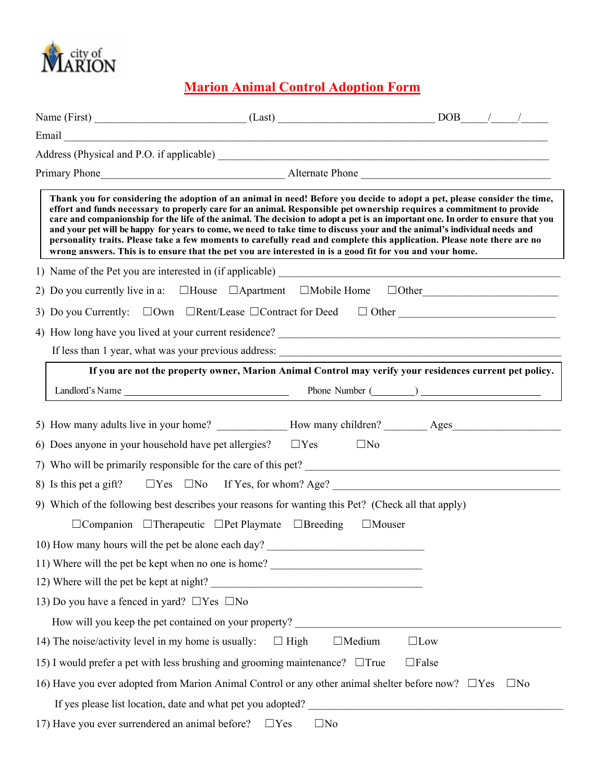

## **Marion Animal Control Adoption Form**

|                                                        | Thank you for considering the adoption of an animal in need! Before you decide to adopt a pet, please consider the time,<br>effort and funds necessary to properly care for an animal. Responsible pet ownership requires a commitment to provide<br>care and companionship for the life of the animal. The decision to adopt a pet is an important one. In order to ensure that you<br>and your pet will be happy for years to come, we need to take time to discuss your and the animal's individual needs and<br>personality traits. Please take a few moments to carefully read and complete this application. Please note there are no<br>wrong answers. This is to ensure that the pet you are interested in is a good fit for you and your home. |                             |           |
|--------------------------------------------------------|---------------------------------------------------------------------------------------------------------------------------------------------------------------------------------------------------------------------------------------------------------------------------------------------------------------------------------------------------------------------------------------------------------------------------------------------------------------------------------------------------------------------------------------------------------------------------------------------------------------------------------------------------------------------------------------------------------------------------------------------------------|-----------------------------|-----------|
|                                                        |                                                                                                                                                                                                                                                                                                                                                                                                                                                                                                                                                                                                                                                                                                                                                         |                             |           |
|                                                        | 2) Do you currently live in a: $\Box$ House $\Box$ Apartment $\Box$ Mobile Home $\Box$ Other                                                                                                                                                                                                                                                                                                                                                                                                                                                                                                                                                                                                                                                            |                             |           |
|                                                        |                                                                                                                                                                                                                                                                                                                                                                                                                                                                                                                                                                                                                                                                                                                                                         |                             |           |
|                                                        |                                                                                                                                                                                                                                                                                                                                                                                                                                                                                                                                                                                                                                                                                                                                                         |                             |           |
|                                                        |                                                                                                                                                                                                                                                                                                                                                                                                                                                                                                                                                                                                                                                                                                                                                         |                             |           |
|                                                        | If you are not the property owner, Marion Animal Control may verify your residences current pet policy.                                                                                                                                                                                                                                                                                                                                                                                                                                                                                                                                                                                                                                                 |                             |           |
|                                                        |                                                                                                                                                                                                                                                                                                                                                                                                                                                                                                                                                                                                                                                                                                                                                         |                             |           |
| 13) Do you have a fenced in yard? $\Box$ Yes $\Box$ No | 6) Does anyone in your household have pet allergies? $\square$ Yes<br>7) Who will be primarily responsible for the care of this pet?<br>8) Is this pet a gift? $\Box$ Yes $\Box$ No If Yes, for whom? Age?<br>9) Which of the following best describes your reasons for wanting this Pet? (Check all that apply)<br>$\Box$ Companion $\Box$ Therapeutic $\Box$ Pet Playmate $\Box$ Breeding<br>10) How many hours will the pet be alone each day?<br>11) Where will the pet be kept when no one is home?<br>12) Where will the pet be kept at night?                                                                                                                                                                                                    | $\Box$ No<br>$\Box$ Mouser  |           |
|                                                        |                                                                                                                                                                                                                                                                                                                                                                                                                                                                                                                                                                                                                                                                                                                                                         |                             |           |
| 14) The noise/activity level in my home is usually:    | $\Box$ High                                                                                                                                                                                                                                                                                                                                                                                                                                                                                                                                                                                                                                                                                                                                             | $\Box$ Medium<br>$\Box$ Low |           |
|                                                        | 15) I would prefer a pet with less brushing and grooming maintenance? $\Box$ True                                                                                                                                                                                                                                                                                                                                                                                                                                                                                                                                                                                                                                                                       | $\Box$ False                |           |
|                                                        | 16) Have you ever adopted from Marion Animal Control or any other animal shelter before now? $\Box$ Yes                                                                                                                                                                                                                                                                                                                                                                                                                                                                                                                                                                                                                                                 |                             | $\Box$ No |
|                                                        |                                                                                                                                                                                                                                                                                                                                                                                                                                                                                                                                                                                                                                                                                                                                                         |                             |           |
| 17) Have you ever surrendered an animal before?        | $\square$ No<br>$\Box$ Yes                                                                                                                                                                                                                                                                                                                                                                                                                                                                                                                                                                                                                                                                                                                              |                             |           |